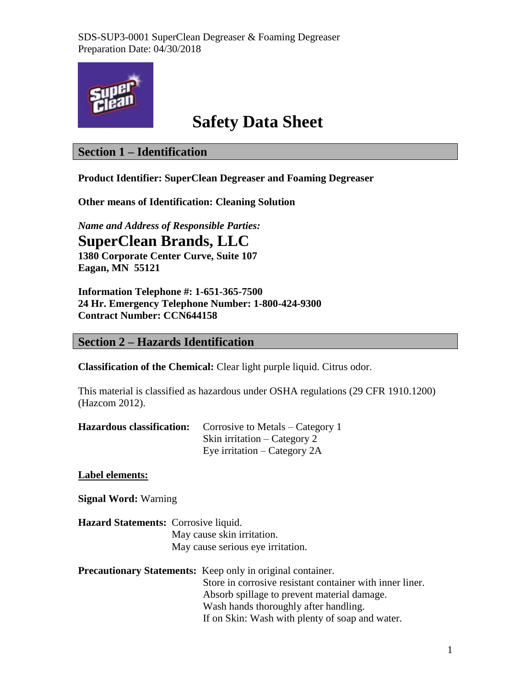

# **Safety Data Sheet**

### **Section 1 – Identification**

**Product Identifier: SuperClean Degreaser and Foaming Degreaser**

**Other means of Identification: Cleaning Solution**

*Name and Address of Responsible Parties:* **SuperClean Brands, LLC 1380 Corporate Center Curve, Suite 107 Eagan, MN 55121**

**Information Telephone #: 1-651-365-7500 24 Hr. Emergency Telephone Number: 1-800-424-9300 Contract Number: CCN644158**

### **Section 2 – Hazards Identification**

**Classification of the Chemical:** Clear light purple liquid. Citrus odor.

This material is classified as hazardous under OSHA regulations (29 CFR 1910.1200) (Hazcom 2012).

| <b>Hazardous classification:</b> Corrosive to Metals – Category 1 |
|-------------------------------------------------------------------|
| Skin irritation – Category 2                                      |
| Eye irritation $-$ Category 2A                                    |

### **Label elements:**

**Signal Word:** Warning

**Hazard Statements:** Corrosive liquid. May cause skin irritation. May cause serious eye irritation.

**Precautionary Statements:** Keep only in original container. Store in corrosive resistant container with inner liner. Absorb spillage to prevent material damage. Wash hands thoroughly after handling. If on Skin: Wash with plenty of soap and water.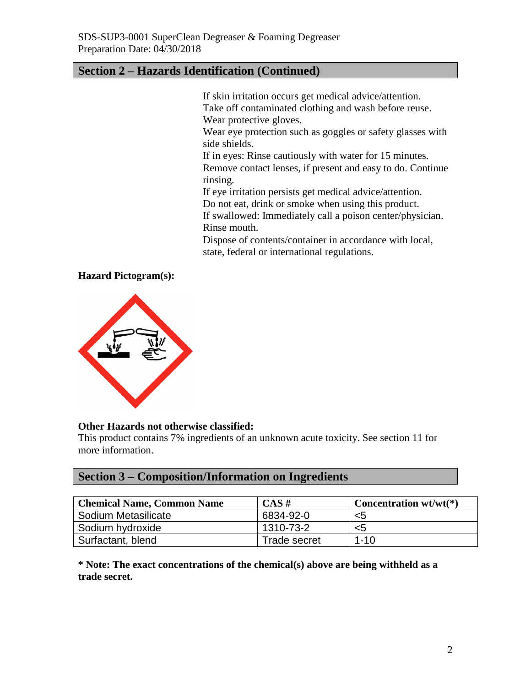### **Section 2 – Hazards Identification (Continued)**

If skin irritation occurs get medical advice/attention. Take off contaminated clothing and wash before reuse. Wear protective gloves.

Wear eye protection such as goggles or safety glasses with side shields.

If in eyes: Rinse cautiously with water for 15 minutes. Remove contact lenses, if present and easy to do. Continue rinsing.

If eye irritation persists get medical advice/attention.

Do not eat, drink or smoke when using this product.

If swallowed: Immediately call a poison center/physician. Rinse mouth.

Dispose of contents/container in accordance with local, state, federal or international regulations.

#### **Hazard Pictogram(s):**



#### **Other Hazards not otherwise classified:**

This product contains 7% ingredients of an unknown acute toxicity. See section 11 for more information.

### **Section 3 – Composition/Information on Ingredients**

| <b>Chemical Name, Common Name</b> | $CAS \#$     | Concentration $wt/wt(*)$ |
|-----------------------------------|--------------|--------------------------|
| Sodium Metasilicate               | 6834-92-0    | <5                       |
| Sodium hydroxide                  | 1310-73-2    | <5                       |
| Surfactant, blend                 | Trade secret | $1 - 10$                 |

**\* Note: The exact concentrations of the chemical(s) above are being withheld as a trade secret.**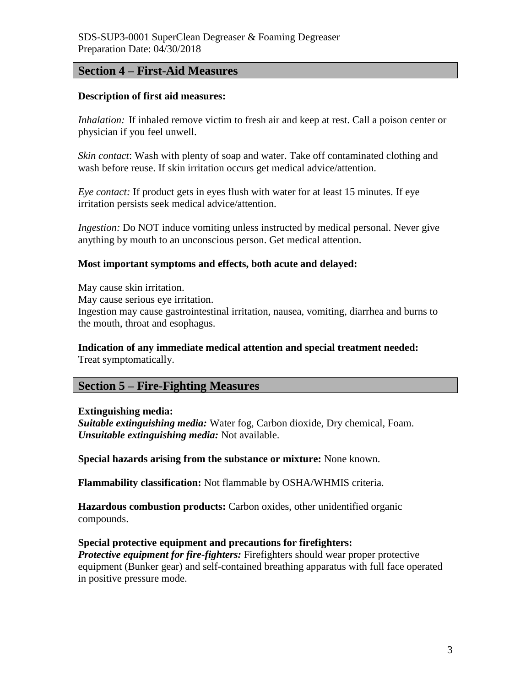### **Section 4 – First-Aid Measures**

#### **Description of first aid measures:**

*Inhalation:* If inhaled remove victim to fresh air and keep at rest. Call a poison center or physician if you feel unwell.

*Skin contact*: Wash with plenty of soap and water. Take off contaminated clothing and wash before reuse. If skin irritation occurs get medical advice/attention.

*Eye contact:* If product gets in eyes flush with water for at least 15 minutes. If eye irritation persists seek medical advice/attention.

*Ingestion:* Do NOT induce vomiting unless instructed by medical personal. Never give anything by mouth to an unconscious person. Get medical attention.

#### **Most important symptoms and effects, both acute and delayed:**

May cause skin irritation. May cause serious eye irritation. Ingestion may cause gastrointestinal irritation, nausea, vomiting, diarrhea and burns to the mouth, throat and esophagus.

#### **Indication of any immediate medical attention and special treatment needed:** Treat symptomatically.

### **Section 5 – Fire-Fighting Measures**

#### **Extinguishing media:**

*Suitable extinguishing media:* Water fog, Carbon dioxide, Dry chemical, Foam. *Unsuitable extinguishing media:* Not available.

**Special hazards arising from the substance or mixture:** None known.

**Flammability classification:** Not flammable by OSHA/WHMIS criteria.

**Hazardous combustion products:** Carbon oxides, other unidentified organic compounds.

### **Special protective equipment and precautions for firefighters:**

*Protective equipment for fire-fighters:* Firefighters should wear proper protective equipment (Bunker gear) and self-contained breathing apparatus with full face operated in positive pressure mode.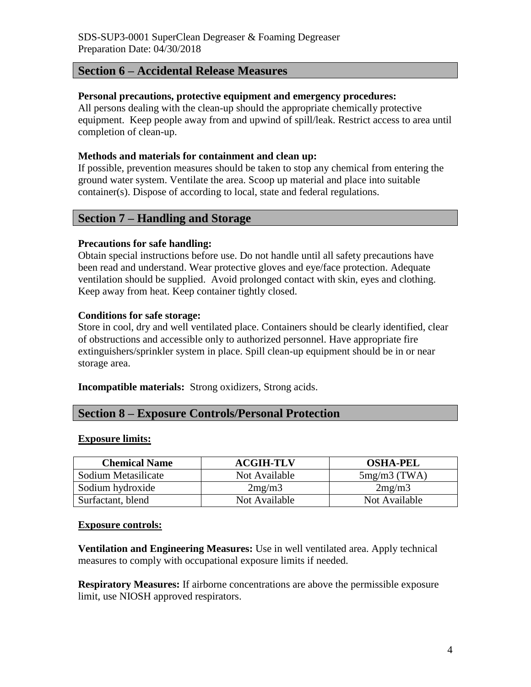### **Section 6 – Accidental Release Measures**

#### **Personal precautions, protective equipment and emergency procedures:**

All persons dealing with the clean-up should the appropriate chemically protective equipment. Keep people away from and upwind of spill/leak. Restrict access to area until completion of clean-up.

#### **Methods and materials for containment and clean up:**

If possible, prevention measures should be taken to stop any chemical from entering the ground water system. Ventilate the area. Scoop up material and place into suitable container(s). Dispose of according to local, state and federal regulations.

### **Section 7 – Handling and Storage**

### **Precautions for safe handling:**

Obtain special instructions before use. Do not handle until all safety precautions have been read and understand. Wear protective gloves and eye/face protection. Adequate ventilation should be supplied. Avoid prolonged contact with skin, eyes and clothing. Keep away from heat. Keep container tightly closed.

#### **Conditions for safe storage:**

Store in cool, dry and well ventilated place. Containers should be clearly identified, clear of obstructions and accessible only to authorized personnel. Have appropriate fire extinguishers/sprinkler system in place. Spill clean-up equipment should be in or near storage area.

**Incompatible materials:** Strong oxidizers, Strong acids.

### **Section 8 – Exposure Controls/Personal Protection**

#### **Exposure limits:**

| <b>Chemical Name</b> | <b>ACGIH-TLV</b> | <b>OSHA-PEL</b> |
|----------------------|------------------|-----------------|
| Sodium Metasilicate  | Not Available    | $5mg/m3$ (TWA)  |
| Sodium hydroxide     | 2mg/m3           | 2mg/m3          |
| Surfactant, blend    | Not Available    | Not Available   |

#### **Exposure controls:**

**Ventilation and Engineering Measures:** Use in well ventilated area. Apply technical measures to comply with occupational exposure limits if needed.

**Respiratory Measures:** If airborne concentrations are above the permissible exposure limit, use NIOSH approved respirators.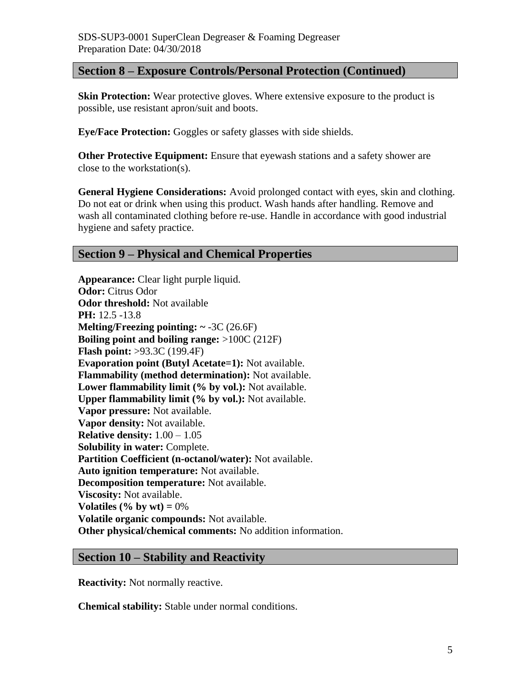### **Section 8 – Exposure Controls/Personal Protection (Continued)**

**Skin Protection:** Wear protective gloves. Where extensive exposure to the product is possible, use resistant apron/suit and boots.

**Eye/Face Protection:** Goggles or safety glasses with side shields.

**Other Protective Equipment:** Ensure that eyewash stations and a safety shower are close to the workstation(s).

**General Hygiene Considerations:** Avoid prolonged contact with eyes, skin and clothing. Do not eat or drink when using this product. Wash hands after handling. Remove and wash all contaminated clothing before re-use. Handle in accordance with good industrial hygiene and safety practice.

### **Section 9 – Physical and Chemical Properties**

**Appearance:** Clear light purple liquid. **Odor:** Citrus Odor **Odor threshold:** Not available **PH:** 12.5 -13.8 **Melting/Freezing pointing: ~** -3C (26.6F) **Boiling point and boiling range:** >100C (212F) **Flash point:** >93.3C (199.4F) **Evaporation point (Butyl Acetate=1):** Not available. **Flammability (method determination):** Not available. **Lower flammability limit (% by vol.):** Not available. **Upper flammability limit (% by vol.):** Not available. **Vapor pressure:** Not available. **Vapor density:** Not available. **Relative density:** 1.00 – 1.05 **Solubility in water:** Complete. **Partition Coefficient (n-octanol/water):** Not available. **Auto ignition temperature:** Not available. **Decomposition temperature:** Not available. **Viscosity:** Not available. **Volatiles (% by wt)**  $= 0\%$ **Volatile organic compounds:** Not available. **Other physical/chemical comments:** No addition information.

### **Section 10 – Stability and Reactivity**

**Reactivity:** Not normally reactive.

**Chemical stability:** Stable under normal conditions.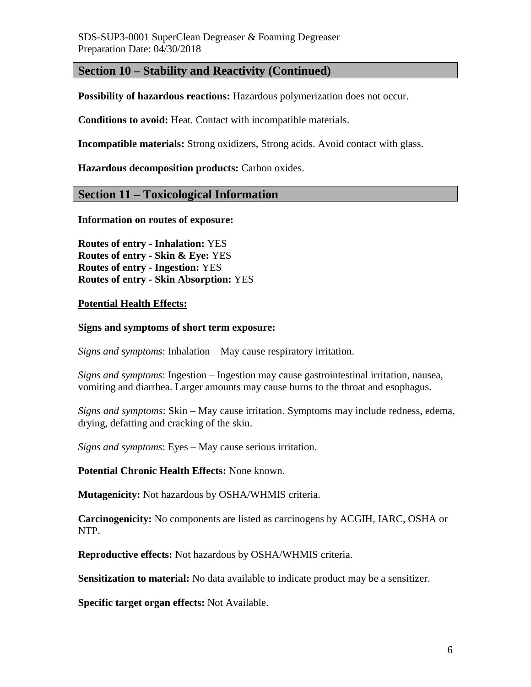### **Section 10 – Stability and Reactivity (Continued)**

**Possibility of hazardous reactions:** Hazardous polymerization does not occur.

**Conditions to avoid:** Heat. Contact with incompatible materials.

**Incompatible materials:** Strong oxidizers, Strong acids. Avoid contact with glass.

**Hazardous decomposition products:** Carbon oxides.

### **Section 11 – Toxicological Information**

**Information on routes of exposure:**

**Routes of entry - Inhalation:** YES **Routes of entry - Skin & Eye:** YES **Routes of entry - Ingestion:** YES **Routes of entry - Skin Absorption:** YES

#### **Potential Health Effects:**

#### **Signs and symptoms of short term exposure:**

*Signs and symptoms*: Inhalation – May cause respiratory irritation.

*Signs and symptoms*: Ingestion – Ingestion may cause gastrointestinal irritation, nausea, vomiting and diarrhea. Larger amounts may cause burns to the throat and esophagus.

*Signs and symptoms*: Skin – May cause irritation. Symptoms may include redness, edema, drying, defatting and cracking of the skin.

*Signs and symptoms*: Eyes – May cause serious irritation.

#### **Potential Chronic Health Effects:** None known.

**Mutagenicity:** Not hazardous by OSHA/WHMIS criteria.

**Carcinogenicity:** No components are listed as carcinogens by ACGIH, IARC, OSHA or NTP.

**Reproductive effects:** Not hazardous by OSHA/WHMIS criteria.

**Sensitization to material:** No data available to indicate product may be a sensitizer.

**Specific target organ effects:** Not Available.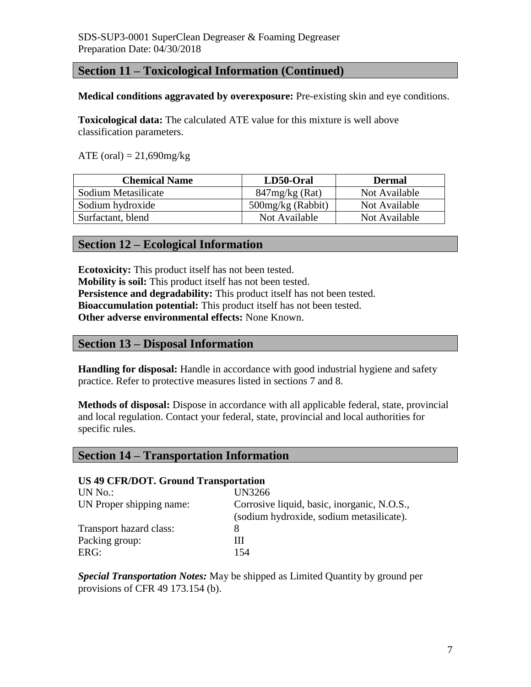### **Section 11 – Toxicological Information (Continued)**

#### **Medical conditions aggravated by overexposure:** Pre-existing skin and eye conditions.

**Toxicological data:** The calculated ATE value for this mixture is well above classification parameters.

ATE (oral) =  $21,690$ mg/kg

| <b>Chemical Name</b> | LD50-Oral           | <b>Dermal</b> |
|----------------------|---------------------|---------------|
| Sodium Metasilicate  | $847mg/kg$ (Rat)    | Not Available |
| Sodium hydroxide     | $500mg/kg$ (Rabbit) | Not Available |
| Surfactant, blend    | Not Available       | Not Available |

### **Section 12 – Ecological Information**

**Ecotoxicity:** This product itself has not been tested. **Mobility is soil:** This product itself has not been tested. **Persistence and degradability:** This product itself has not been tested. **Bioaccumulation potential:** This product itself has not been tested. **Other adverse environmental effects:** None Known.

### **Section 13 – Disposal Information**

**Handling for disposal:** Handle in accordance with good industrial hygiene and safety practice. Refer to protective measures listed in sections 7 and 8.

**Methods of disposal:** Dispose in accordance with all applicable federal, state, provincial and local regulation. Contact your federal, state, provincial and local authorities for specific rules.

### **Section 14 – Transportation Information**

#### **US 49 CFR/DOT. Ground Transportation**

| UN No.:                  | <b>UN3266</b>                                                                           |
|--------------------------|-----------------------------------------------------------------------------------------|
| UN Proper shipping name: | Corrosive liquid, basic, inorganic, N.O.S.,<br>(sodium hydroxide, sodium metasilicate). |
| Transport hazard class:  |                                                                                         |
| Packing group:           | Ш                                                                                       |
| ERG:                     | 154                                                                                     |

*Special Transportation Notes:* May be shipped as Limited Quantity by ground per provisions of CFR 49 173.154 (b).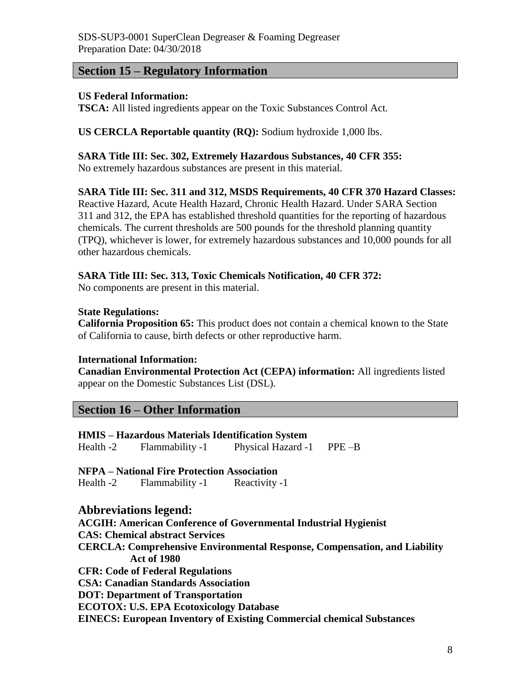### **Section 15 – Regulatory Information**

### **US Federal Information:**

**TSCA:** All listed ingredients appear on the Toxic Substances Control Act.

### **US CERCLA Reportable quantity (RQ):** Sodium hydroxide 1,000 lbs.

### **SARA Title III: Sec. 302, Extremely Hazardous Substances, 40 CFR 355:**

No extremely hazardous substances are present in this material.

### **SARA Title III: Sec. 311 and 312, MSDS Requirements, 40 CFR 370 Hazard Classes:**

Reactive Hazard, Acute Health Hazard, Chronic Health Hazard. Under SARA Section 311 and 312, the EPA has established threshold quantities for the reporting of hazardous chemicals. The current thresholds are 500 pounds for the threshold planning quantity (TPQ), whichever is lower, for extremely hazardous substances and 10,000 pounds for all other hazardous chemicals.

### **SARA Title III: Sec. 313, Toxic Chemicals Notification, 40 CFR 372:**

No components are present in this material.

### **State Regulations:**

**California Proposition 65:** This product does not contain a chemical known to the State of California to cause, birth defects or other reproductive harm.

### **International Information:**

**Canadian Environmental Protection Act (CEPA) information:** All ingredients listed appear on the Domestic Substances List (DSL).

### **Section 16 – Other Information**

## **HMIS – Hazardous Materials Identification System** Health -2 Flammability -1 Physical Hazard -1 PPE –B

**NFPA – National Fire Protection Association**

Health -2 Flammability -1 Reactivity -1

### **Abbreviations legend:**

**ACGIH: American Conference of Governmental Industrial Hygienist CAS: Chemical abstract Services CERCLA: Comprehensive Environmental Response, Compensation, and Liability Act of 1980 CFR: Code of Federal Regulations CSA: Canadian Standards Association DOT: Department of Transportation ECOTOX: U.S. EPA Ecotoxicology Database EINECS: European Inventory of Existing Commercial chemical Substances**